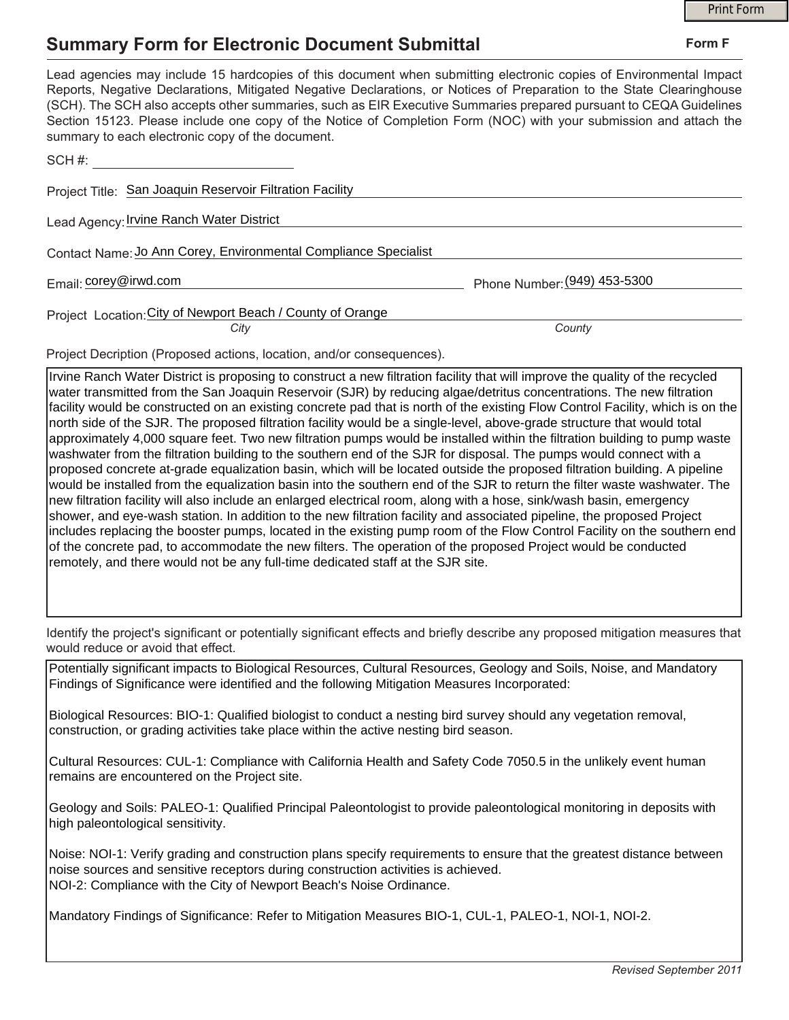## **Summary Form for Electronic Document Submittal**

|                                                                                                                                                                                                                                                                                                                                                                                                                                                                                                                                           |                              | <b>Print Form</b> |
|-------------------------------------------------------------------------------------------------------------------------------------------------------------------------------------------------------------------------------------------------------------------------------------------------------------------------------------------------------------------------------------------------------------------------------------------------------------------------------------------------------------------------------------------|------------------------------|-------------------|
| <b>Summary Form for Electronic Document Submittal</b>                                                                                                                                                                                                                                                                                                                                                                                                                                                                                     |                              | Form F            |
| Lead agencies may include 15 hardcopies of this document when submitting electronic copies of Environmental Impact<br>Reports, Negative Declarations, Mitigated Negative Declarations, or Notices of Preparation to the State Clearinghouse<br>(SCH). The SCH also accepts other summaries, such as EIR Executive Summaries prepared pursuant to CEQA Guidelines<br>Section 15123. Please include one copy of the Notice of Completion Form (NOC) with your submission and attach the<br>summary to each electronic copy of the document. |                              |                   |
| SCH#: All and the second second second second second second second second second second second second second second second second second second second second second second second second second second second second second s                                                                                                                                                                                                                                                                                                            |                              |                   |
| Project Title: San Joaquin Reservoir Filtration Facility                                                                                                                                                                                                                                                                                                                                                                                                                                                                                  |                              |                   |
| Lead Agency: <i>Irvine Ranch Water District</i>                                                                                                                                                                                                                                                                                                                                                                                                                                                                                           |                              |                   |
| Contact Name: Jo Ann Corey, Environmental Compliance Specialist                                                                                                                                                                                                                                                                                                                                                                                                                                                                           |                              |                   |
| Email: corey@irwd.com                                                                                                                                                                                                                                                                                                                                                                                                                                                                                                                     | Phone Number: (949) 453-5300 |                   |
| Project Location: City of Newport Beach / County of Orange<br>City                                                                                                                                                                                                                                                                                                                                                                                                                                                                        | County                       |                   |
| Project Decription (Proposed actions, location, and/or consequences).                                                                                                                                                                                                                                                                                                                                                                                                                                                                     |                              |                   |

Irvine Ranch Water District is proposing to construct a new filtration facility that will improve the quality of the recycled water transmitted from the San Joaquin Reservoir (SJR) by reducing algae/detritus concentrations. The new filtration facility would be constructed on an existing concrete pad that is north of the existing Flow Control Facility, which is on the north side of the SJR. The proposed filtration facility would be a single-level, above-grade structure that would total approximately 4,000 square feet. Two new filtration pumps would be installed within the filtration building to pump waste washwater from the filtration building to the southern end of the SJR for disposal. The pumps would connect with a proposed concrete at-grade equalization basin, which will be located outside the proposed filtration building. A pipeline would be installed from the equalization basin into the southern end of the SJR to return the filter waste washwater. The new filtration facility will also include an enlarged electrical room, along with a hose, sink/wash basin, emergency shower, and eye-wash station. In addition to the new filtration facility and associated pipeline, the proposed Project includes replacing the booster pumps, located in the existing pump room of the Flow Control Facility on the southern end of the concrete pad, to accommodate the new filters. The operation of the proposed Project would be conducted remotely, and there would not be any full-time dedicated staff at the SJR site.

Identify the project's significant or potentially significant effects and briefly describe any proposed mitigation measures that would reduce or avoid that effect.

Potentially significant impacts to Biological Resources, Cultural Resources, Geology and Soils, Noise, and Mandatory Findings of Significance were identified and the following Mitigation Measures Incorporated:

Biological Resources: BIO-1: Qualified biologist to conduct a nesting bird survey should any vegetation removal, construction, or grading activities take place within the active nesting bird season.

Cultural Resources: CUL-1: Compliance with California Health and Safety Code 7050.5 in the unlikely event human remains are encountered on the Project site.

Geology and Soils: PALEO-1: Qualified Principal Paleontologist to provide paleontological monitoring in deposits with high paleontological sensitivity.

Noise: NOI-1: Verify grading and construction plans specify requirements to ensure that the greatest distance between noise sources and sensitive receptors during construction activities is achieved. NOI-2: Compliance with the City of Newport Beach's Noise Ordinance.

Mandatory Findings of Significance: Refer to Mitigation Measures BIO-1, CUL-1, PALEO-1, NOI-1, NOI-2.